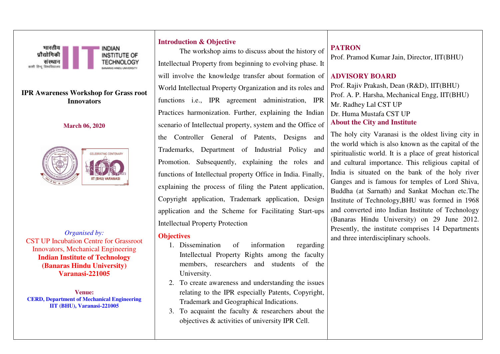

*Organised by:*  CST UP Incubation Centre for Grassroot Innovators, Mechanical Engineering **Indian Institute of Technology (Banaras Hindu University) Varanasi-221005** 

**Venue: CERD, Department of Mechanical Engineering IIT (BHU), Varanasi-221005**

## **Introduction & Objective**

The workshop aims to discuss about the history of Intellectual Property from beginning to evolving phase. It will involve the knowledge transfer about formation of World Intellectual Property Organization and its roles and functions i.e., IPR agreement administration, IPR Practices harmonization. Further, explaining the Indian scenario of Intellectual property, system and the Office of the Controller General of Patents, Designs and Trademarks, Department of Industrial Policy and Promotion. Subsequently, explaining the roles and functions of Intellectual property Office in India. Finally, explaining the process of filing the Patent application, Copyright application, Trademark application, Design application and the Scheme for Facilitating Start-ups Intellectual Property Protection

## **Objectives**

- 1. Dissemination of information regarding Intellectual Property Rights among the faculty members, researchers and students of the University.
- 2. To create awareness and understanding the issues relating to the IPR especially Patents, Copyright, Trademark and Geographical Indications.
- 3. To acquaint the faculty & researchers about the objectives & activities of university IPR Cell.

## **PATRON**

Prof. Pramod Kumar Jain, Director, IIT(BHU)

## **ADVISORY BOARD**

Prof. Rajiv Prakash, Dean (R&D), IIT(BHU) Prof. A. P. Harsha, Mechanical Engg, IIT(BHU) Mr. Radhey Lal CST UP Dr. Huma Mustafa CST UP **About the City and Institute** 

The holy city Varanasi is the oldest living city in the world which is also known as the capital of the spiritualistic world. It is a place of great historical and cultural importance. This religious capital of India is situated on the bank of the holy river Ganges and is famous for temples of Lord Shiva, Buddha (at Sarnath) and Sankat Mochan etc.The Institute of Technology,BHU was formed in 1968 and converted into Indian Institute of Technology (Banaras Hindu University) on 29 June 2012. Presently, the institute comprises 14 Departments and three interdisciplinary schools.